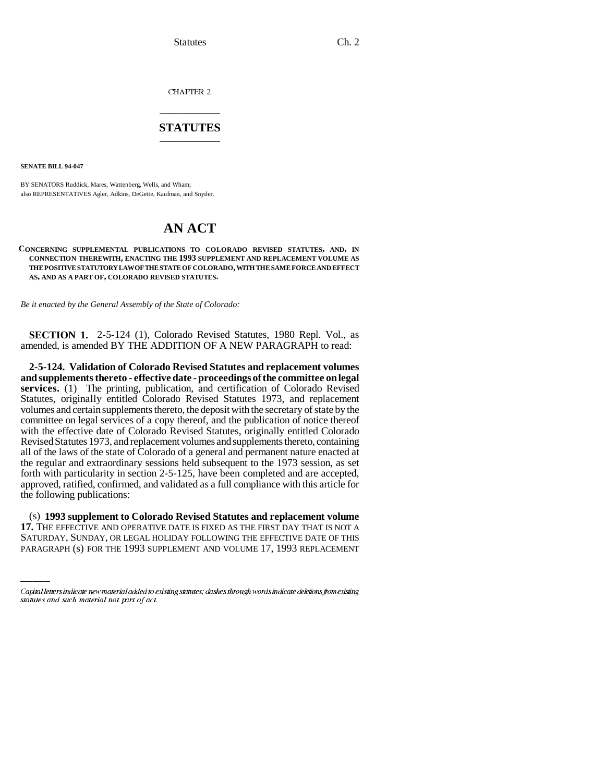CHAPTER 2

# \_\_\_\_\_\_\_\_\_\_\_\_\_\_\_ **STATUTES** \_\_\_\_\_\_\_\_\_\_\_\_\_\_\_

**SENATE BILL 94-047**

BY SENATORS Ruddick, Mares, Wattenberg, Wells, and Wham; also REPRESENTATIVES Agler, Adkins, DeGette, Kaufman, and Snyder.

# **AN ACT**

### **CONCERNING SUPPLEMENTAL PUBLICATIONS TO COLORADO REVISED STATUTES, AND, IN CONNECTION THEREWITH, ENACTING THE 1993 SUPPLEMENT AND REPLACEMENT VOLUME AS THE POSITIVE STATUTORY LAW OF THE STATE OF COLORADO, WITH THE SAME FORCE AND EFFECT AS, AND AS A PART OF, COLORADO REVISED STATUTES.**

*Be it enacted by the General Assembly of the State of Colorado:*

**SECTION 1.** 2-5-124 (1), Colorado Revised Statutes, 1980 Repl. Vol., as amended, is amended BY THE ADDITION OF A NEW PARAGRAPH to read:

**2-5-124. Validation of Colorado Revised Statutes and replacement volumes and supplements thereto - effective date - proceedings of the committee on legal services.** (1) The printing, publication, and certification of Colorado Revised Statutes, originally entitled Colorado Revised Statutes 1973, and replacement volumes and certain supplements thereto, the deposit with the secretary of state by the committee on legal services of a copy thereof, and the publication of notice thereof with the effective date of Colorado Revised Statutes, originally entitled Colorado Revised Statutes 1973, and replacement volumes and supplements thereto, containing all of the laws of the state of Colorado of a general and permanent nature enacted at the regular and extraordinary sessions held subsequent to the 1973 session, as set forth with particularity in section 2-5-125, have been completed and are accepted, approved, ratified, confirmed, and validated as a full compliance with this article for the following publications:

 $\mathcal{L}_{\text{max}}$ (s) **1993 supplement to Colorado Revised Statutes and replacement volume 17.** THE EFFECTIVE AND OPERATIVE DATE IS FIXED AS THE FIRST DAY THAT IS NOT A SATURDAY, SUNDAY, OR LEGAL HOLIDAY FOLLOWING THE EFFECTIVE DATE OF THIS PARAGRAPH (s) FOR THE 1993 SUPPLEMENT AND VOLUME 17, 1993 REPLACEMENT

Capital letters indicate new material added to existing statutes; dashes through words indicate deletions from existing statutes and such material not part of act.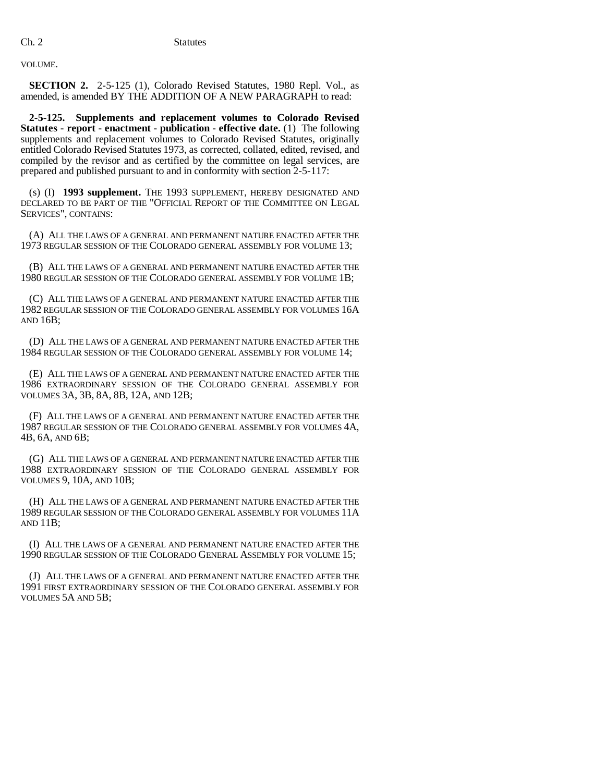VOLUME.

**SECTION 2.** 2-5-125 (1), Colorado Revised Statutes, 1980 Repl. Vol., as amended, is amended BY THE ADDITION OF A NEW PARAGRAPH to read:

**2-5-125. Supplements and replacement volumes to Colorado Revised Statutes - report - enactment - publication - effective date.** (1) The following supplements and replacement volumes to Colorado Revised Statutes, originally entitled Colorado Revised Statutes 1973, as corrected, collated, edited, revised, and compiled by the revisor and as certified by the committee on legal services, are prepared and published pursuant to and in conformity with section 2-5-117:

(s) (I) **1993 supplement.** THE 1993 SUPPLEMENT, HEREBY DESIGNATED AND DECLARED TO BE PART OF THE "OFFICIAL REPORT OF THE COMMITTEE ON LEGAL SERVICES", CONTAINS:

(A) ALL THE LAWS OF A GENERAL AND PERMANENT NATURE ENACTED AFTER THE 1973 REGULAR SESSION OF THE COLORADO GENERAL ASSEMBLY FOR VOLUME 13;

(B) ALL THE LAWS OF A GENERAL AND PERMANENT NATURE ENACTED AFTER THE 1980 REGULAR SESSION OF THE COLORADO GENERAL ASSEMBLY FOR VOLUME 1B;

(C) ALL THE LAWS OF A GENERAL AND PERMANENT NATURE ENACTED AFTER THE 1982 REGULAR SESSION OF THE COLORADO GENERAL ASSEMBLY FOR VOLUMES 16A AND 16B;

(D) ALL THE LAWS OF A GENERAL AND PERMANENT NATURE ENACTED AFTER THE 1984 REGULAR SESSION OF THE COLORADO GENERAL ASSEMBLY FOR VOLUME 14;

(E) ALL THE LAWS OF A GENERAL AND PERMANENT NATURE ENACTED AFTER THE 1986 EXTRAORDINARY SESSION OF THE COLORADO GENERAL ASSEMBLY FOR VOLUMES 3A, 3B, 8A, 8B, 12A, AND 12B;

(F) ALL THE LAWS OF A GENERAL AND PERMANENT NATURE ENACTED AFTER THE 1987 REGULAR SESSION OF THE COLORADO GENERAL ASSEMBLY FOR VOLUMES 4A, 4B, 6A, AND 6B;

(G) ALL THE LAWS OF A GENERAL AND PERMANENT NATURE ENACTED AFTER THE 1988 EXTRAORDINARY SESSION OF THE COLORADO GENERAL ASSEMBLY FOR VOLUMES 9, 10A, AND 10B;

(H) ALL THE LAWS OF A GENERAL AND PERMANENT NATURE ENACTED AFTER THE 1989 REGULAR SESSION OF THE COLORADO GENERAL ASSEMBLY FOR VOLUMES 11A AND 11B;

(I) ALL THE LAWS OF A GENERAL AND PERMANENT NATURE ENACTED AFTER THE 1990 REGULAR SESSION OF THE COLORADO GENERAL ASSEMBLY FOR VOLUME 15;

(J) ALL THE LAWS OF A GENERAL AND PERMANENT NATURE ENACTED AFTER THE 1991 FIRST EXTRAORDINARY SESSION OF THE COLORADO GENERAL ASSEMBLY FOR VOLUMES 5A AND 5B;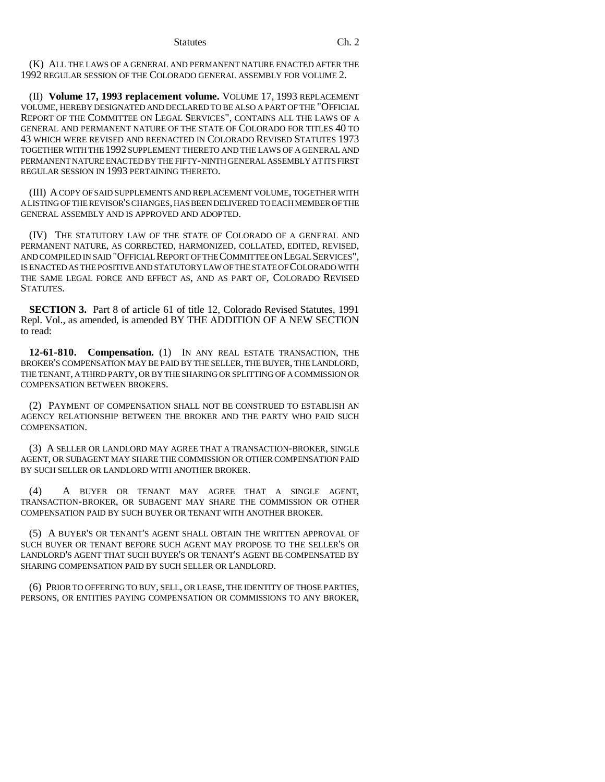(K) ALL THE LAWS OF A GENERAL AND PERMANENT NATURE ENACTED AFTER THE 1992 REGULAR SESSION OF THE COLORADO GENERAL ASSEMBLY FOR VOLUME 2.

(II) **Volume 17, 1993 replacement volume.** VOLUME 17, 1993 REPLACEMENT VOLUME, HEREBY DESIGNATED AND DECLARED TO BE ALSO A PART OF THE "OFFICIAL REPORT OF THE COMMITTEE ON LEGAL SERVICES", CONTAINS ALL THE LAWS OF A GENERAL AND PERMANENT NATURE OF THE STATE OF COLORADO FOR TITLES 40 TO 43 WHICH WERE REVISED AND REENACTED IN COLORADO REVISED STATUTES 1973 TOGETHER WITH THE 1992 SUPPLEMENT THERETO AND THE LAWS OF A GENERAL AND PERMANENT NATURE ENACTED BY THE FIFTY-NINTH GENERAL ASSEMBLY AT ITS FIRST REGULAR SESSION IN 1993 PERTAINING THERETO.

(III) A COPY OF SAID SUPPLEMENTS AND REPLACEMENT VOLUME, TOGETHER WITH A LISTING OF THE REVISOR'S CHANGES, HAS BEEN DELIVERED TO EACH MEMBER OF THE GENERAL ASSEMBLY AND IS APPROVED AND ADOPTED.

(IV) THE STATUTORY LAW OF THE STATE OF COLORADO OF A GENERAL AND PERMANENT NATURE, AS CORRECTED, HARMONIZED, COLLATED, EDITED, REVISED, AND COMPILED IN SAID "OFFICIAL REPORT OF THE COMMITTEE ON LEGAL SERVICES", IS ENACTED AS THE POSITIVE AND STATUTORY LAW OF THE STATE OF COLORADO WITH THE SAME LEGAL FORCE AND EFFECT AS, AND AS PART OF, COLORADO REVISED STATUTES.

**SECTION 3.** Part 8 of article 61 of title 12, Colorado Revised Statutes, 1991 Repl. Vol., as amended, is amended BY THE ADDITION OF A NEW SECTION to read:

**12-61-810. Compensation.** (1) IN ANY REAL ESTATE TRANSACTION, THE BROKER'S COMPENSATION MAY BE PAID BY THE SELLER, THE BUYER, THE LANDLORD, THE TENANT, A THIRD PARTY, OR BY THE SHARING OR SPLITTING OF A COMMISSION OR COMPENSATION BETWEEN BROKERS.

(2) PAYMENT OF COMPENSATION SHALL NOT BE CONSTRUED TO ESTABLISH AN AGENCY RELATIONSHIP BETWEEN THE BROKER AND THE PARTY WHO PAID SUCH COMPENSATION.

(3) A SELLER OR LANDLORD MAY AGREE THAT A TRANSACTION-BROKER, SINGLE AGENT, OR SUBAGENT MAY SHARE THE COMMISSION OR OTHER COMPENSATION PAID BY SUCH SELLER OR LANDLORD WITH ANOTHER BROKER.

(4) A BUYER OR TENANT MAY AGREE THAT A SINGLE AGENT, TRANSACTION-BROKER, OR SUBAGENT MAY SHARE THE COMMISSION OR OTHER COMPENSATION PAID BY SUCH BUYER OR TENANT WITH ANOTHER BROKER.

(5) A BUYER'S OR TENANT'S AGENT SHALL OBTAIN THE WRITTEN APPROVAL OF SUCH BUYER OR TENANT BEFORE SUCH AGENT MAY PROPOSE TO THE SELLER'S OR LANDLORD'S AGENT THAT SUCH BUYER'S OR TENANT'S AGENT BE COMPENSATED BY SHARING COMPENSATION PAID BY SUCH SELLER OR LANDLORD.

(6) PRIOR TO OFFERING TO BUY, SELL, OR LEASE, THE IDENTITY OF THOSE PARTIES, PERSONS, OR ENTITIES PAYING COMPENSATION OR COMMISSIONS TO ANY BROKER,